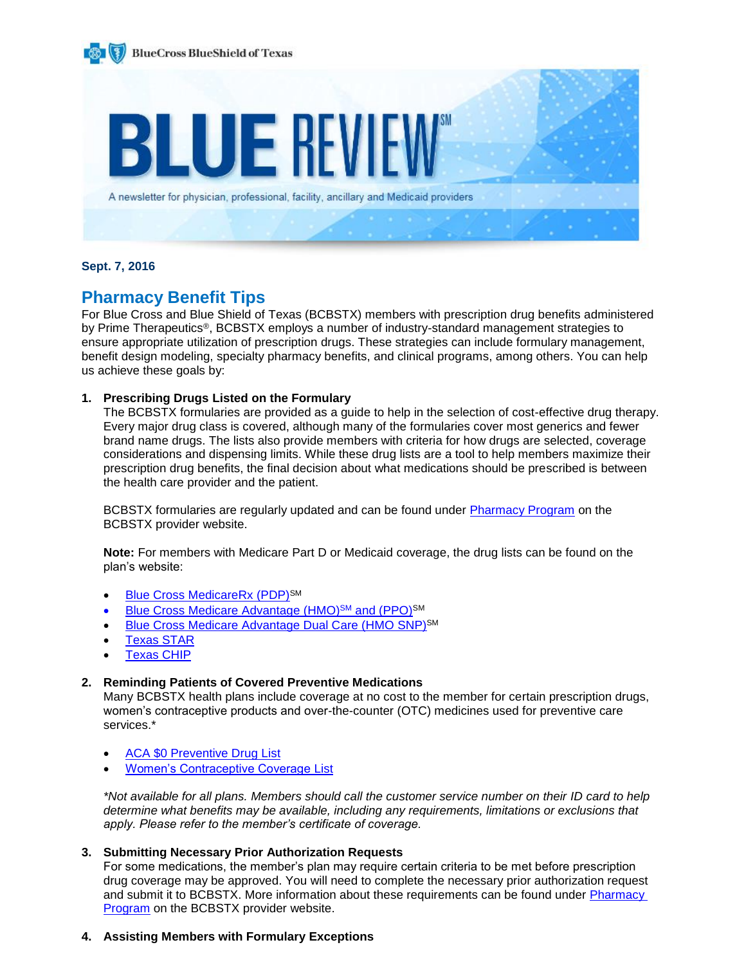

## **Sept. 7, 2016**

# **Pharmacy Benefit Tips**

For Blue Cross and Blue Shield of Texas (BCBSTX) members with prescription drug benefits administered by Prime Therapeutics<sup>®</sup>, BCBSTX employs a number of industry-standard management strategies to ensure appropriate utilization of prescription drugs. These strategies can include formulary management, benefit design modeling, specialty pharmacy benefits, and clinical programs, among others. You can help us achieve these goals by:

# **1. Prescribing Drugs Listed on the Formulary**

The BCBSTX formularies are provided as a guide to help in the selection of cost-effective drug therapy. Every major drug class is covered, although many of the formularies cover most generics and fewer brand name drugs. The lists also provide members with criteria for how drugs are selected, coverage considerations and dispensing limits. While these drug lists are a tool to help members maximize their prescription drug benefits, the final decision about what medications should be prescribed is between the health care provider and the patient.

BCBSTX formularies are regularly updated and can be found under [Pharmacy Program](http://www.bcbstx.com/provider/pharmacy/index.html) on the BCBSTX provider website.

**Note:** For members with Medicare Part D or Medicaid coverage, the drug lists can be found on the plan's website:

- [Blue Cross MedicareRx \(PDP\)](https://www.bcbstx.com/medicare/part_d_druglist.html)<sup>SM</sup>
- [Blue Cross Medicare Advantage](https://www.bcbstx.com/medicare/mapd_drug_coverage.html) (HMO)<sup>SM</sup> and (PPO)<sup>SM</sup>
- [Blue Cross Medicare Advantage Dual Care \(HMO](https://www.bcbstx.com/medicare/snp_drug_coverage.html) SNP)<sup>SM</sup>
- [Texas STAR](https://www.bcbstx.com/star/prescription-drugs/drug-coverage)
- [Texas CHIP](https://www.bcbstx.com/chip/prescription-drugs/drug-coverage)

### **2. Reminding Patients of Covered Preventive Medications**

Many BCBSTX health plans include coverage at no cost to the member for certain prescription drugs, women's contraceptive products and over-the-counter (OTC) medicines used for preventive care services.\*

- [ACA \\$0 Preventive Drug List](https://www.bcbstx.com/pdf/rx/rx-aca-prev-list-tx.pdf)
- [Women's Contraceptive Coverage List](https://www.bcbstx.com/pdf/rx/rx-aca-prev-list-tx.pdf)

*\*Not available for all plans. Members should call the customer service number on their ID card to help determine what benefits may be available, including any requirements, limitations or exclusions that apply. Please refer to the member's certificate of coverage.*

### **3. Submitting Necessary Prior Authorization Requests**

For some medications, the member's plan may require certain criteria to be met before prescription drug coverage may be approved. You will need to complete the necessary prior authorization request and submit it to BCBSTX. More information about these requirements can be found under [Pharmacy](http://www.bcbstx.com/provider/pharmacy/index.html)  [Program](http://www.bcbstx.com/provider/pharmacy/index.html) on the BCBSTX provider website.

### **4. Assisting Members with Formulary Exceptions**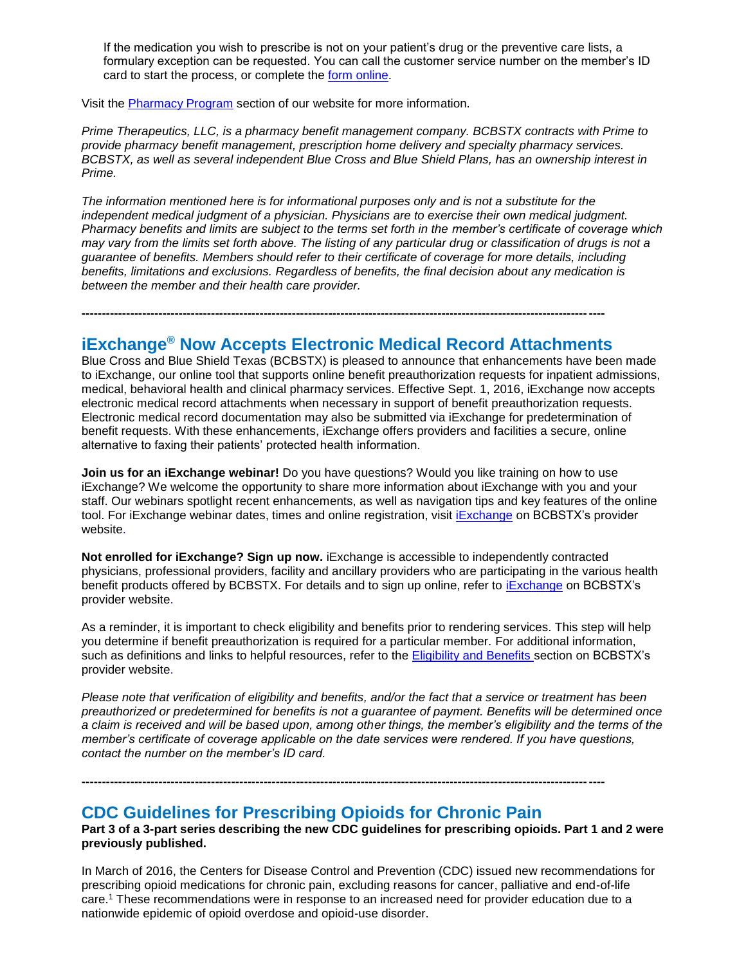If the medication you wish to prescribe is not on your patient's drug or the preventive care lists, a formulary exception can be requested. You can call the customer service number on the member's ID card to start the process, or complete the [form online.](https://www.myprime.com/en/coverage-exception-form.html)

Visit the [Pharmacy Program](http://www.bcbstx.com/provider/pharmacy/index.html) section of our website for more information.

*Prime Therapeutics, LLC, is a pharmacy benefit management company. BCBSTX contracts with Prime to provide pharmacy benefit management, prescription home delivery and specialty pharmacy services. BCBSTX, as well as several independent Blue Cross and Blue Shield Plans, has an ownership interest in Prime.* 

*The information mentioned here is for informational purposes only and is not a substitute for the independent medical judgment of a physician. Physicians are to exercise their own medical judgment. Pharmacy benefits and limits are subject to the terms set forth in the member's certificate of coverage which may vary from the limits set forth above. The listing of any particular drug or classification of drugs is not a guarantee of benefits. Members should refer to their certificate of coverage for more details, including benefits, limitations and exclusions. Regardless of benefits, the final decision about any medication is between the member and their health care provider.*

**---------------------------------------------------------------------------------------------------------------------------------**

# **iExchange® Now Accepts Electronic Medical Record Attachments**

Blue Cross and Blue Shield Texas (BCBSTX) is pleased to announce that enhancements have been made to iExchange, our online tool that supports online benefit preauthorization requests for inpatient admissions, medical, behavioral health and clinical pharmacy services. Effective Sept. 1, 2016, iExchange now accepts electronic medical record attachments when necessary in support of benefit preauthorization requests. Electronic medical record documentation may also be submitted via iExchange for predetermination of benefit requests. With these enhancements, iExchange offers providers and facilities a secure, online alternative to faxing their patients' protected health information.

**Join us for an iExchange webinar!** Do you have questions? Would you like training on how to use iExchange? We welcome the opportunity to share more information about iExchange with you and your staff. Our webinars spotlight recent enhancements, as well as navigation tips and key features of the online tool. For [iExchange](http://www.bcbstx.com/provider/tools/iexchange_index.html) webinar dates, times and online registration, visit iExchange on BCBSTX's provider website.

**Not enrolled for iExchange? Sign up now.** iExchange is accessible to independently contracted physicians, professional providers, facility and ancillary providers who are participating in the various health benefit products offered by BCBSTX. For details and to sign up online, refer to [iExchange](http://www.bcbstx.com/provider/tools/iexchange.html) on BCBSTX's provider website.

As a reminder, it is important to check eligibility and benefits prior to rendering services. This step will help you determine if benefit preauthorization is required for a particular member. For additional information, such as definitions and links to helpful resources, refer to the [Eligibility and Benefits](http://www.bcbstx.com/provider/claims/eligibility_and_benefits.html) secti[on](http://www.bcbstx.com/provider) on BCBSTX's provider website.

*Please note that verification of eligibility and benefits, and/or the fact that a service or treatment has been preauthorized or predetermined for benefits is not a guarantee of payment. Benefits will be determined once a claim is received and will be based upon, among other things, the member's eligibility and the terms of the member's certificate of coverage applicable on the date services were rendered. If you have questions, contact the number on the member's ID card.*

**---------------------------------------------------------------------------------------------------------------------------------**

# **CDC Guidelines for Prescribing Opioids for Chronic Pain**

**Part 3 of a 3-part series describing the new CDC guidelines for prescribing opioids. Part 1 and 2 were previously published.**

In March of 2016, the Centers for Disease Control and Prevention (CDC) issued new recommendations for prescribing opioid medications for chronic pain, excluding reasons for cancer, palliative and end-of-life care.<sup>1</sup> These recommendations were in response to an increased need for provider education due to a nationwide epidemic of opioid overdose and opioid-use disorder.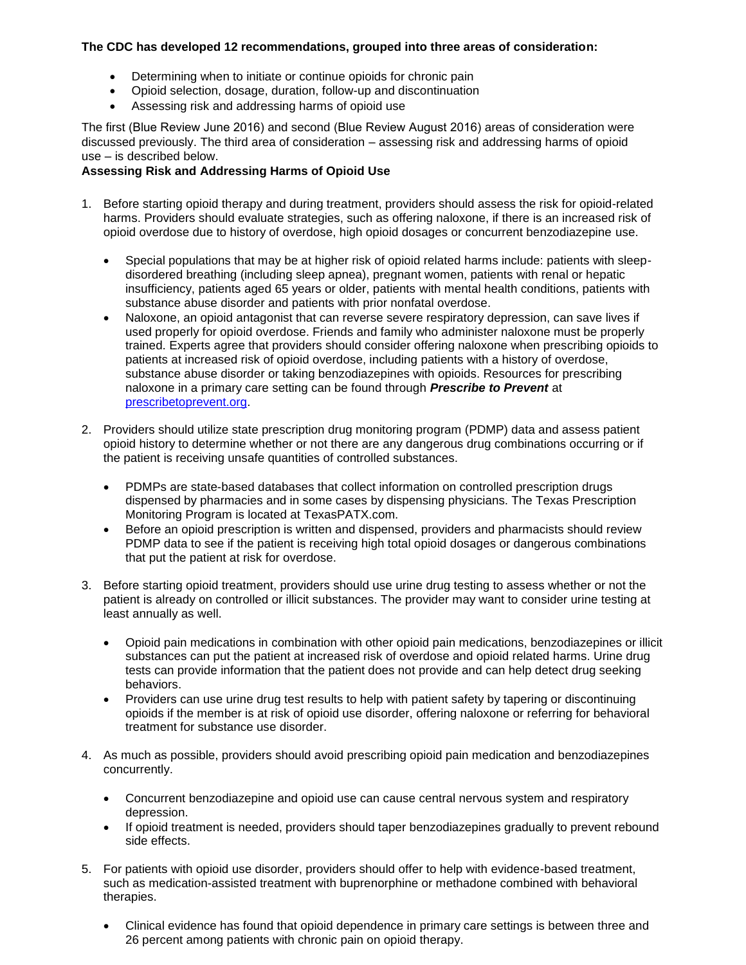# **The CDC has developed 12 recommendations, grouped into three areas of consideration:**

- Determining when to initiate or continue opioids for chronic pain
- Opioid selection, dosage, duration, follow-up and discontinuation
- Assessing risk and addressing harms of opioid use

The first (Blue Review June 2016) and second (Blue Review August 2016) areas of consideration were discussed previously. The third area of consideration – assessing risk and addressing harms of opioid use – is described below.

# **Assessing Risk and Addressing Harms of Opioid Use**

- 1. Before starting opioid therapy and during treatment, providers should assess the risk for opioid-related harms. Providers should evaluate strategies, such as offering naloxone, if there is an increased risk of opioid overdose due to history of overdose, high opioid dosages or concurrent benzodiazepine use.
	- Special populations that may be at higher risk of opioid related harms include: patients with sleepdisordered breathing (including sleep apnea), pregnant women, patients with renal or hepatic insufficiency, patients aged 65 years or older, patients with mental health conditions, patients with substance abuse disorder and patients with prior nonfatal overdose.
	- Naloxone, an opioid antagonist that can reverse severe respiratory depression, can save lives if used properly for opioid overdose. Friends and family who administer naloxone must be properly trained. Experts agree that providers should consider offering naloxone when prescribing opioids to patients at increased risk of opioid overdose, including patients with a history of overdose, substance abuse disorder or taking benzodiazepines with opioids. Resources for prescribing naloxone in a primary care setting can be found through *Prescribe to Prevent* at [prescribetoprevent.org.](http://prescribetoprevent.org/)
- 2. Providers should utilize state prescription drug monitoring program (PDMP) data and assess patient opioid history to determine whether or not there are any dangerous drug combinations occurring or if the patient is receiving unsafe quantities of controlled substances.
	- PDMPs are state-based databases that collect information on controlled prescription drugs dispensed by pharmacies and in some cases by dispensing physicians. The Texas Prescription Monitoring Program is located at [TexasPATX.com.](https://www.texaspatx.com/Login.aspx?ReturnUrl=%2fdefault.aspx)
	- Before an opioid prescription is written and dispensed, providers and pharmacists should review PDMP data to see if the patient is receiving high total opioid dosages or dangerous combinations that put the patient at risk for overdose.
- 3. Before starting opioid treatment, providers should use urine drug testing to assess whether or not the patient is already on controlled or illicit substances. The provider may want to consider urine testing at least annually as well.
	- Opioid pain medications in combination with other opioid pain medications, benzodiazepines or illicit substances can put the patient at increased risk of overdose and opioid related harms. Urine drug tests can provide information that the patient does not provide and can help detect drug seeking behaviors.
	- Providers can use urine drug test results to help with patient safety by tapering or discontinuing opioids if the member is at risk of opioid use disorder, offering naloxone or referring for behavioral treatment for substance use disorder.
- 4. As much as possible, providers should avoid prescribing opioid pain medication and benzodiazepines concurrently.
	- Concurrent benzodiazepine and opioid use can cause central nervous system and respiratory depression.
	- If opioid treatment is needed, providers should taper benzodiazepines gradually to prevent rebound side effects.
- 5. For patients with opioid use disorder, providers should offer to help with evidence-based treatment, such as medication-assisted treatment with buprenorphine or methadone combined with behavioral therapies.
	- Clinical evidence has found that opioid dependence in primary care settings is between three and 26 percent among patients with chronic pain on opioid therapy.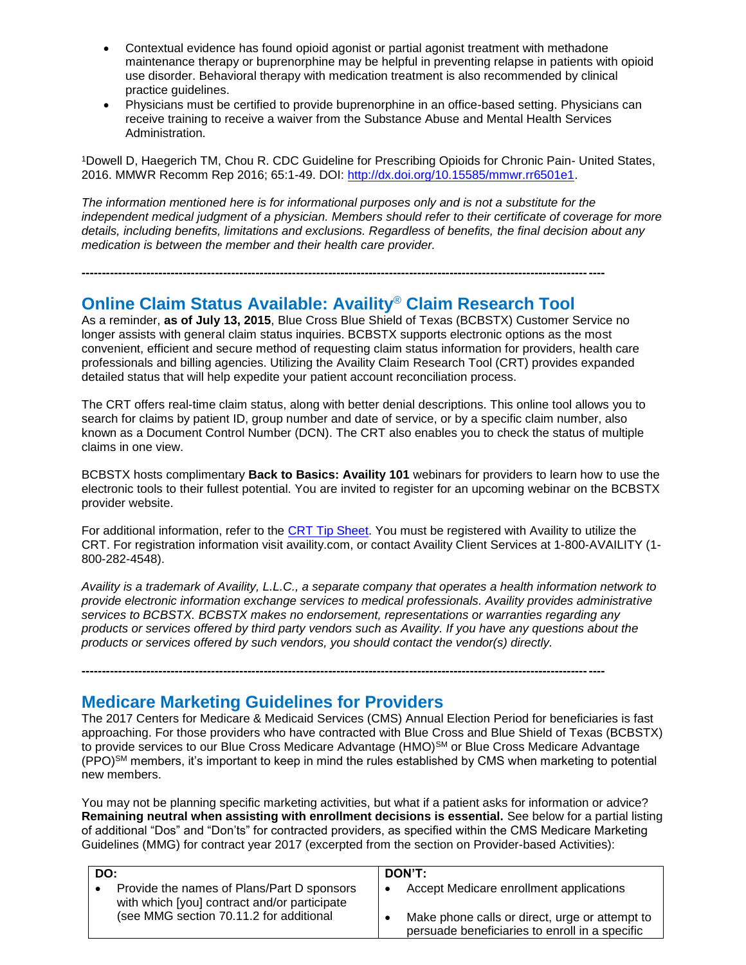- Contextual evidence has found opioid agonist or partial agonist treatment with methadone maintenance therapy or buprenorphine may be helpful in preventing relapse in patients with opioid use disorder. Behavioral therapy with medication treatment is also recommended by clinical practice guidelines.
- Physicians must be certified to provide buprenorphine in an office-based setting. Physicians can receive training to receive a waiver from the Substance Abuse and Mental Health Services Administration.

<sup>1</sup>Dowell D, Haegerich TM, Chou R. CDC Guideline for Prescribing Opioids for Chronic Pain- United States, 2016. MMWR Recomm Rep 2016; 65:1-49. DOI: [http://dx.doi.org/10.15585/mmwr.rr6501e1.](http://dx.doi.org/10.15585/mmwr.rr6501e1)

*The information mentioned here is for informational purposes only and is not a substitute for the independent medical judgment of a physician. Members should refer to their certificate of coverage for more details, including benefits, limitations and exclusions. Regardless of benefits, the final decision about any medication is between the member and their health care provider.*

# **Online Claim Status Available: Availity**® **Claim Research Tool**

**---------------------------------------------------------------------------------------------------------------------------------**

As a reminder, **as of July 13, 2015**, Blue Cross Blue Shield of Texas (BCBSTX) Customer Service no longer assists with general claim status inquiries. BCBSTX supports electronic options as the most convenient, efficient and secure method of requesting claim status information for providers, health care professionals and billing agencies. Utilizing the Availity Claim Research Tool (CRT) provides expanded detailed status that will help expedite your patient account reconciliation process.

The CRT offers real-time claim status, along with better denial descriptions. This online tool allows you to search for claims by patient ID, group number and date of service, or by a specific claim number, also known as a Document Control Number (DCN). The CRT also enables you to check the status of multiple claims in one view.

BCBSTX hosts complimentary **Back to Basics: Availity 101** webinars for providers to learn how to use the electronic tools to their fullest potential. You are invited to register for an upcoming webinar on the BCBSTX provider website.

For additional information, refer to the [CRT Tip Sheet.](http://www.bcbstx.com/provider/pdf/cir_tip_sheet.pdf) You must be registered with Availity to utilize the CRT. For registration information visit availity.com, or contact Availity Client Services at 1-800-AVAILITY (1- 800-282-4548).

*Availity is a trademark of Availity, L.L.C., a separate company that operates a health information network to provide electronic information exchange services to medical professionals. Availity provides administrative services to BCBSTX. BCBSTX makes no endorsement, representations or warranties regarding any products or services offered by third party vendors such as Availity. If you have any questions about the products or services offered by such vendors, you should contact the vendor(s) directly.*

**---------------------------------------------------------------------------------------------------------------------------------**

# **Medicare Marketing Guidelines for Providers**

The 2017 Centers for Medicare & Medicaid Services (CMS) Annual Election Period for beneficiaries is fast approaching. For those providers who have contracted with Blue Cross and Blue Shield of Texas (BCBSTX) to provide services to our Blue Cross Medicare Advantage (HMO)<sup>SM</sup> or Blue Cross Medicare Advantage (PPO)SM members, it's important to keep in mind the rules established by CMS when marketing to potential new members.

You may not be planning specific marketing activities, but what if a patient asks for information or advice? **Remaining neutral when assisting with enrollment decisions is essential.** See below for a partial listing of additional "Dos" and "Don'ts" for contracted providers, as specified within the CMS Medicare Marketing Guidelines (MMG) for contract year 2017 (excerpted from the section on Provider-based Activities):

| DO:                                                                                        | DON'T:                                                                                           |
|--------------------------------------------------------------------------------------------|--------------------------------------------------------------------------------------------------|
| Provide the names of Plans/Part D sponsors<br>with which [you] contract and/or participate | Accept Medicare enrollment applications                                                          |
| (see MMG section 70.11.2 for additional                                                    | Make phone calls or direct, urge or attempt to<br>persuade beneficiaries to enroll in a specific |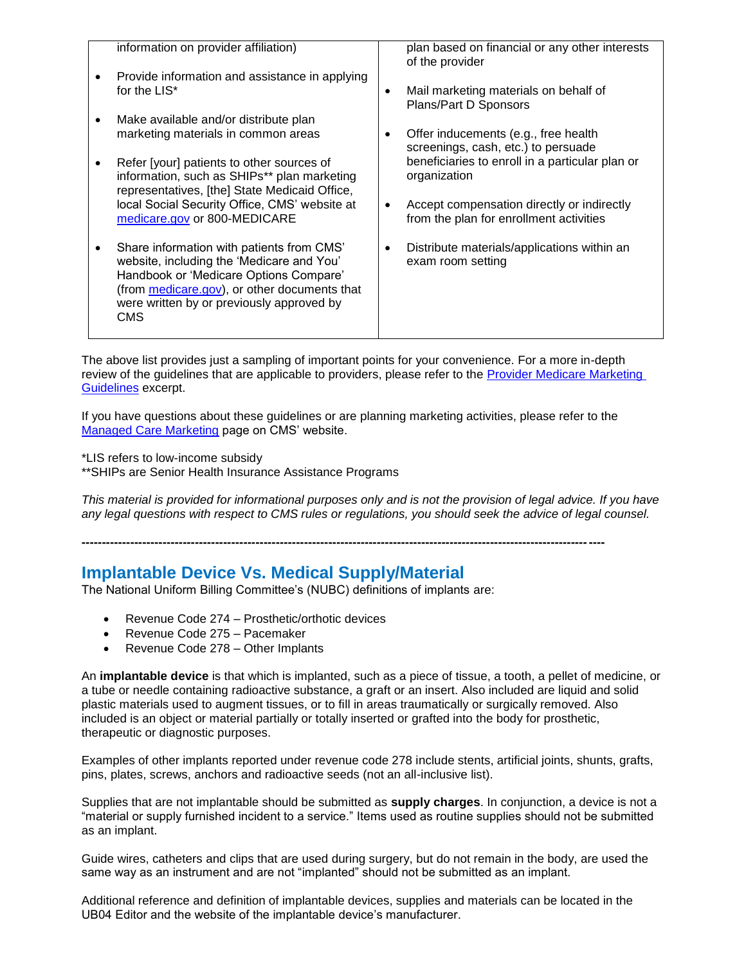|           | information on provider affiliation)                                                                                                                                                                                                        | plan based on financial or any other interests<br>of the provider                                  |
|-----------|---------------------------------------------------------------------------------------------------------------------------------------------------------------------------------------------------------------------------------------------|----------------------------------------------------------------------------------------------------|
|           | Provide information and assistance in applying<br>for the LIS*                                                                                                                                                                              | Mail marketing materials on behalf of<br>٠<br>Plans/Part D Sponsors                                |
| $\bullet$ | Make available and/or distribute plan<br>marketing materials in common areas                                                                                                                                                                | Offer inducements (e.g., free health<br>screenings, cash, etc.) to persuade                        |
|           | Refer [your] patients to other sources of<br>information, such as SHIPs** plan marketing<br>representatives, [the] State Medicaid Office,                                                                                                   | beneficiaries to enroll in a particular plan or<br>organization                                    |
|           | local Social Security Office, CMS' website at<br>medicare.gov or 800-MEDICARE                                                                                                                                                               | Accept compensation directly or indirectly<br>$\bullet$<br>from the plan for enrollment activities |
| ٠         | Share information with patients from CMS'<br>website, including the 'Medicare and You'<br>Handbook or 'Medicare Options Compare'<br>(from medicare.gov), or other documents that<br>were written by or previously approved by<br><b>CMS</b> | Distribute materials/applications within an<br>٠<br>exam room setting                              |

The above list provides just a sampling of important points for your convenience. For a more in-depth review of the guidelines that are applicable to providers, please refer to the [Provider Medicare Marketing](http://www.bcbstx.com/provider/pdf/medicare_marketing_guidelines.pdf)  [Guidelines](http://www.bcbstx.com/provider/pdf/medicare_marketing_guidelines.pdf) excerpt.

If you have questions about these guidelines or are planning marketing activities, please refer to the [Managed Care Marketing](https://www.cms.gov/Medicare/Health-Plans/ManagedCareMarketing/index.html) page on CMS' website.

**---------------------------------------------------------------------------------------------------------------------------------**

\*LIS refers to low-income subsidy

\*\*SHIPs are Senior Health Insurance Assistance Programs

*This material is provided for informational purposes only and is not the provision of legal advice. If you have any legal questions with respect to CMS rules or regulations, you should seek the advice of legal counsel.* 

# **Implantable Device Vs. Medical Supply/Material**

The National Uniform Billing Committee's (NUBC) definitions of implants are:

- Revenue Code 274 Prosthetic/orthotic devices
- Revenue Code 275 Pacemaker
- Revenue Code 278 Other Implants

An **implantable device** is that which is implanted, such as a piece of tissue, a tooth, a pellet of medicine, or a tube or needle containing radioactive substance, a graft or an insert. Also included are liquid and solid plastic materials used to augment tissues, or to fill in areas traumatically or surgically removed. Also included is an object or material partially or totally inserted or grafted into the body for prosthetic, therapeutic or diagnostic purposes.

Examples of other implants reported under revenue code 278 include stents, artificial joints, shunts, grafts, pins, plates, screws, anchors and radioactive seeds (not an all-inclusive list).

Supplies that are not implantable should be submitted as **supply charges**. In conjunction, a device is not a "material or supply furnished incident to a service." Items used as routine supplies should not be submitted as an implant.

Guide wires, catheters and clips that are used during surgery, but do not remain in the body, are used the same way as an instrument and are not "implanted" should not be submitted as an implant.

Additional reference and definition of implantable devices, supplies and materials can be located in the UB04 Editor and the website of the implantable device's manufacturer.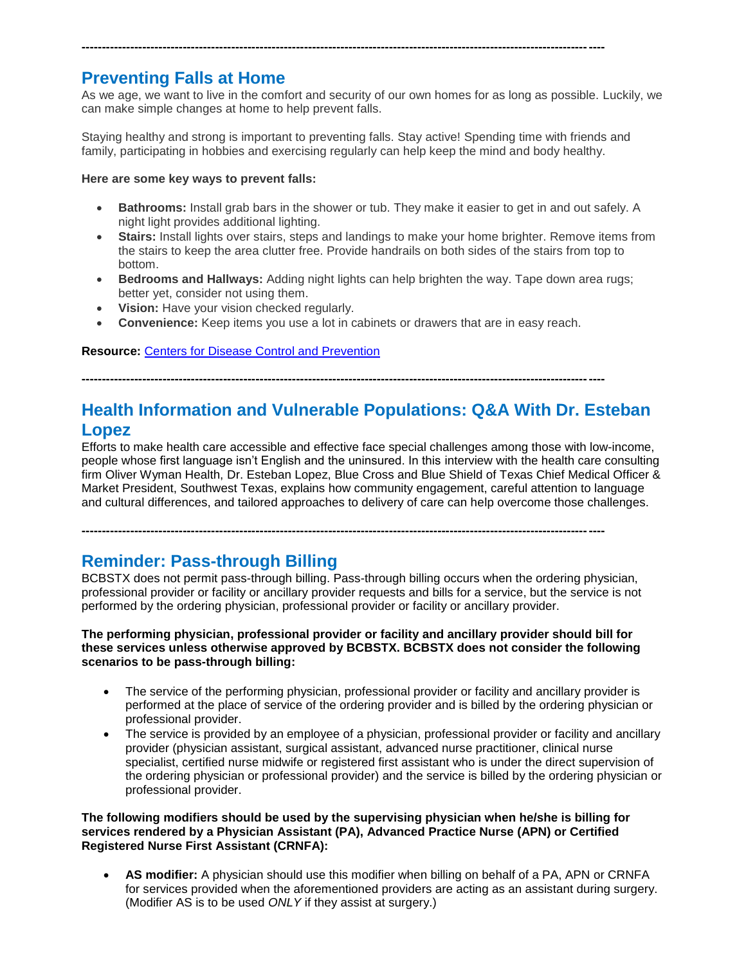# **Preventing Falls at Home**

As we age, we want to live in the comfort and security of our own homes for as long as possible. Luckily, we can make simple changes at home to help prevent falls.

Staying healthy and strong is important to preventing falls. Stay active! Spending time with friends and family, participating in hobbies and exercising regularly can help keep the mind and body healthy.

**---------------------------------------------------------------------------------------------------------------------------------**

# **Here are some key ways to prevent falls:**

- **Bathrooms:** Install grab bars in the shower or tub. They make it easier to get in and out safely. A night light provides additional lighting.
- **Stairs:** Install lights over stairs, steps and landings to make your home brighter. Remove items from the stairs to keep the area clutter free. Provide handrails on both sides of the stairs from top to bottom.
- **Bedrooms and Hallways:** Adding night lights can help brighten the way. Tape down area rugs; better yet, consider not using them.
- **Vision:** Have your vision checked regularly.
- **Convenience:** Keep items you use a lot in cabinets or drawers that are in easy reach.

# **Resource:** [Centers for Disease Control and Prevention](http://www.cdc.gov/homeandrecreationalsafety/falls/adultfalls.html)

**---------------------------------------------------------------------------------------------------------------------------------**

# **Health Information and Vulnerable Populations: Q&A With Dr. Esteban Lopez**

Efforts to make health care accessible and effective face special challenges among those with low-income, people whose first language isn't English and the uninsured. In this [interview](http://links.mkt2527.com/ctt?kn=15&ms=OTQ1Nzk3NAS2&r=MTU1NDQ1OTc3MTUwS0&b=0&j=MTAwMDE2OTU0MwS2&mt=1&rt=0) with the health care consulting firm Oliver Wyman Health, Dr. Esteban Lopez, Blue Cross and Blue Shield of Texas Chief Medical Officer & Market President, Southwest Texas, explains how community engagement, careful attention to language and cultural differences, and tailored approaches to delivery of care can help overcome those challenges.

**---------------------------------------------------------------------------------------------------------------------------------**

# **Reminder: Pass-through Billing**

BCBSTX does not permit pass-through billing. Pass-through billing occurs when the ordering physician, professional provider or facility or ancillary provider requests and bills for a service, but the service is not performed by the ordering physician, professional provider or facility or ancillary provider.

# **The performing physician, professional provider or facility and ancillary provider should bill for these services unless otherwise approved by BCBSTX. BCBSTX does not consider the following scenarios to be pass-through billing:**

- The service of the performing physician, professional provider or facility and ancillary provider is performed at the place of service of the ordering provider and is billed by the ordering physician or professional provider.
- The service is provided by an employee of a physician, professional provider or facility and ancillary provider (physician assistant, surgical assistant, advanced nurse practitioner, clinical nurse specialist, certified nurse midwife or registered first assistant who is under the direct supervision of the ordering physician or professional provider) and the service is billed by the ordering physician or professional provider.

### **The following modifiers should be used by the supervising physician when he/she is billing for services rendered by a Physician Assistant (PA), Advanced Practice Nurse (APN) or Certified Registered Nurse First Assistant (CRNFA):**

 **AS modifier:** A physician should use this modifier when billing on behalf of a PA, APN or CRNFA for services provided when the aforementioned providers are acting as an assistant during surgery. (Modifier AS is to be used *ONLY* if they assist at surgery.)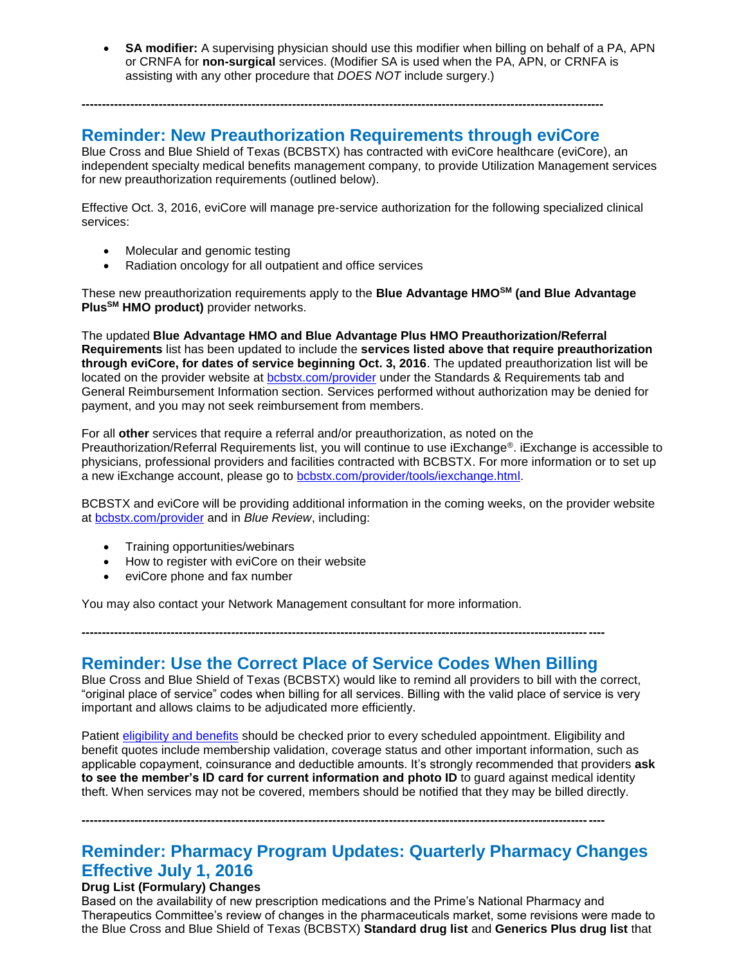**SA modifier:** A supervising physician should use this modifier when billing on behalf of a PA, APN or CRNFA for **non-surgical** services. (Modifier SA is used when the PA, APN, or CRNFA is assisting with any other procedure that *DOES NOT* include surgery.)

# **Reminder: New Preauthorization Requirements through eviCore**

**---------------------------------------------------------------------------------------------------------------------------------**

Blue Cross and Blue Shield of Texas (BCBSTX) has contracted with eviCore healthcare (eviCore), an independent specialty medical benefits management company, to provide Utilization Management services for new preauthorization requirements (outlined below).

Effective Oct. 3, 2016, eviCore will manage pre-service authorization for the following specialized clinical services:

- Molecular and genomic testing
- Radiation oncology for all outpatient and office services

These new preauthorization requirements apply to the **Blue Advantage HMOSM (and Blue Advantage PlusSM HMO product)** provider networks.

The updated **Blue Advantage HMO and Blue Advantage Plus HMO Preauthorization/Referral Requirements** list has been updated to include the **services listed above that require preauthorization through eviCore, for dates of service beginning Oct. 3, 2016**. The updated preauthorization list will be located on the provider website at [bcbstx.com/provider](http://www.bcbstx.com/provider/gri/index.html) under the Standards & Requirements tab and General Reimbursement Information section. Services performed without authorization may be denied for payment, and you may not seek reimbursement from members.

For all **other** services that require a referral and/or preauthorization, as noted on the Preauthorization/Referral Requirements list, you will continue to use iExchange®. iExchange is accessible to physicians, professional providers and facilities contracted with BCBSTX. For more information or to set up a new iExchange account, please go to [bcbstx.com/provider/tools/iexchange.html](https://www.bcbstx.com/provider/tools/iexchange_index.html).

BCBSTX and eviCore will be providing additional information in the coming weeks, on the provider website at [bcbstx.com/provider](https://www.bcbstx.com/provider/index.html) and in *Blue Review*, including:

- Training opportunities/webinars
- How to register with eviCore on their website
- eviCore phone and fax number

You may also contact your Network Management consultant for more information.

# **---------------------------------------------------------------------------------------------------------------------------------**

**Reminder: Use the Correct Place of Service Codes When Billing** Blue Cross and Blue Shield of Texas (BCBSTX) would like to remind all providers to bill with the correct,

"original place of service" codes when billing for all services. Billing with the valid place of service is very important and allows claims to be adjudicated more efficiently.

Patient [eligibility and benefits](https://www.bcbstx.com/provider/claims/eligibility_and_benefits.html) should be checked prior to every scheduled appointment. Eligibility and benefit quotes include membership validation, coverage status and other important information, such as applicable copayment, coinsurance and deductible amounts. It's strongly recommended that providers **ask to see the member's ID card for current information and photo ID** to guard against medical identity theft. When services may not be covered, members should be notified that they may be billed directly.

**---------------------------------------------------------------------------------------------------------------------------------**

# **Reminder: Pharmacy Program Updates: Quarterly Pharmacy Changes Effective July 1, 2016**

# **Drug List (Formulary) Changes**

Based on the availability of new prescription medications and the Prime's National Pharmacy and Therapeutics Committee's review of changes in the pharmaceuticals market, some revisions were made to the Blue Cross and Blue Shield of Texas (BCBSTX) **Standard drug list** and **Generics Plus drug list** that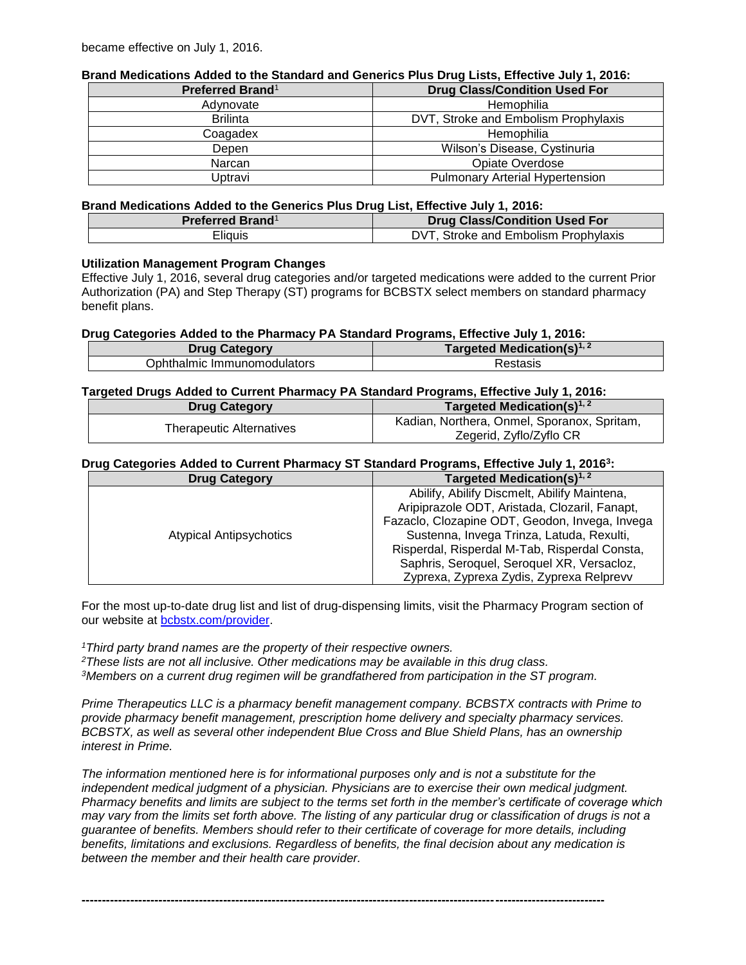# **Brand Medications Added to the Standard and Generics Plus Drug Lists, Effective July 1, 2016:**

| <b>Drug Class/Condition Used For</b><br>Preferred Brand <sup>1</sup> |                                        |
|----------------------------------------------------------------------|----------------------------------------|
| Adynovate                                                            | Hemophilia                             |
| <b>Brilinta</b>                                                      | DVT, Stroke and Embolism Prophylaxis   |
| Coagadex                                                             | Hemophilia                             |
| Depen                                                                | Wilson's Disease, Cystinuria           |
| Narcan                                                               | Opiate Overdose                        |
| Uptravi                                                              | <b>Pulmonary Arterial Hypertension</b> |

### **Brand Medications Added to the Generics Plus Drug List, Effective July 1, 2016:**

| <b>Preferred Brand</b> <sup>1</sup> | <b>Drug Class/Condition Used For</b> |
|-------------------------------------|--------------------------------------|
| Eliauis                             | r. Stroke and Embolism Prophylaxis   |

# **Utilization Management Program Changes**

Effective July 1, 2016, several drug categories and/or targeted medications were added to the current Prior Authorization (PA) and Step Therapy (ST) programs for BCBSTX select members on standard pharmacy benefit plans.

# **Drug Categories Added to the Pharmacy PA Standard Programs, Effective July 1, 2016:**

| <b>Drug Category</b>        | Targeted Medication(s) $1, 2$ |
|-----------------------------|-------------------------------|
| Ophthalmic Immunomodulators | Restasis                      |

# **Targeted Drugs Added to Current Pharmacy PA Standard Programs, Effective July 1, 2016:**

| <b>Drug Category</b>     | Targeted Medication(s) <sup>1, 2</sup>      |
|--------------------------|---------------------------------------------|
| Therapeutic Alternatives | Kadian, Northera, Onmel, Sporanox, Spritam, |
|                          | Zegerid, Zyflo/Zyflo CR                     |

# **Drug Categories Added to Current Pharmacy ST Standard Programs, Effective July 1, 2016<sup>3</sup> :**

| <b>Drug Category</b>           | Targeted Medication(s) $1, 2$                                                                                                                                                                                                                                                                                                           |
|--------------------------------|-----------------------------------------------------------------------------------------------------------------------------------------------------------------------------------------------------------------------------------------------------------------------------------------------------------------------------------------|
| <b>Atypical Antipsychotics</b> | Abilify, Abilify Discmelt, Abilify Maintena,<br>Aripiprazole ODT, Aristada, Clozaril, Fanapt,<br>Fazaclo, Clozapine ODT, Geodon, Invega, Invega<br>Sustenna, Invega Trinza, Latuda, Rexulti,<br>Risperdal, Risperdal M-Tab, Risperdal Consta,<br>Saphris, Seroquel, Seroquel XR, Versacloz,<br>Zyprexa, Zyprexa Zydis, Zyprexa Relprevv |

For the most up-to-date drug list and list of drug-dispensing limits, visit the Pharmacy Program section of our website at [bcbstx.com/provider.](http://www.bcbstx.com/provider/pharmacy/quantity_time.html)

*<sup>1</sup>Third party brand names are the property of their respective owners.*

*<sup>2</sup>These lists are not all inclusive. Other medications may be available in this drug class.*

*<sup>3</sup>Members on a current drug regimen will be grandfathered from participation in the ST program.*

*Prime Therapeutics LLC is a pharmacy benefit management company. BCBSTX contracts with Prime to provide pharmacy benefit management, prescription home delivery and specialty pharmacy services. BCBSTX, as well as several other independent Blue Cross and Blue Shield Plans, has an ownership interest in Prime.*

*The information mentioned here is for informational purposes only and is not a substitute for the independent medical judgment of a physician. Physicians are to exercise their own medical judgment. Pharmacy benefits and limits are subject to the terms set forth in the member's certificate of coverage which may vary from the limits set forth above. The listing of any particular drug or classification of drugs is not a guarantee of benefits. Members should refer to their certificate of coverage for more details, including benefits, limitations and exclusions. Regardless of benefits, the final decision about any medication is between the member and their health care provider.*

**---------------------------------------------------------------------------------------------------------------------------------**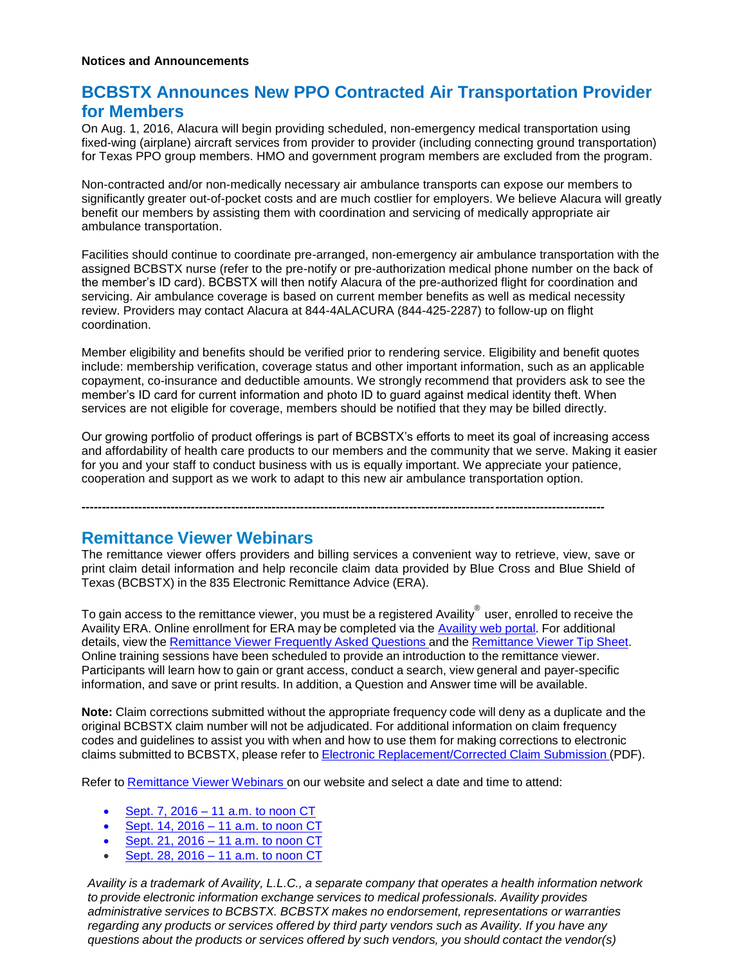# **BCBSTX Announces New PPO Contracted Air Transportation Provider for Members**

On Aug. 1, 2016, Alacura will begin providing scheduled, non-emergency medical transportation using fixed-wing (airplane) aircraft services from provider to provider (including connecting ground transportation) for Texas PPO group members. HMO and government program members are excluded from the program.

Non-contracted and/or non-medically necessary air ambulance transports can expose our members to significantly greater out-of-pocket costs and are much costlier for employers. We believe Alacura will greatly benefit our members by assisting them with coordination and servicing of medically appropriate air ambulance transportation.

Facilities should continue to coordinate pre-arranged, non-emergency air ambulance transportation with the assigned BCBSTX nurse (refer to the pre-notify or pre-authorization medical phone number on the back of the member's ID card). BCBSTX will then notify Alacura of the pre-authorized flight for coordination and servicing. Air ambulance coverage is based on current member benefits as well as medical necessity review. Providers may contact Alacura at 844-4ALACURA (844-425-2287) to follow-up on flight coordination.

Member eligibility and benefits should be verified prior to rendering service. Eligibility and benefit quotes include: membership verification, coverage status and other important information, such as an applicable copayment, co-insurance and deductible amounts. We strongly recommend that providers ask to see the member's ID card for current information and photo ID to guard against medical identity theft. When services are not eligible for coverage, members should be notified that they may be billed directly.

Our growing portfolio of product offerings is part of BCBSTX's efforts to meet its goal of increasing access and affordability of health care products to our members and the community that we serve. Making it easier for you and your staff to conduct business with us is equally important. We appreciate your patience, cooperation and support as we work to adapt to this new air ambulance transportation option.

### **---------------------------------------------------------------------------------------------------------------------------------**

# **Remittance Viewer Webinars**

The remittance viewer offers providers and billing services a convenient way to retrieve, view, save or print claim detail information and help reconcile claim data provided by Blue Cross and Blue Shield of Texas (BCBSTX) in the 835 Electronic Remittance Advice (ERA).

To gain access to the remittance viewer, you must be a registered Availity $^\circ$  user, enrolled to receive the Availity ERA. Online enrollment for ERA may be completed via the [Availity](https://www.availity.com/) web portal. For additional details, view the [Remittance](https://www.bcbstx.com/provider/pdf/remittance_viewer_faqs.pdf) Viewer Frequently Asked Questions and the [Remittance](https://www.bcbstx.com/provider/pdf/remittance_viewer_tip_sheet.pdf) Viewer Tip Sheet. Online training sessions have been scheduled to provide an introduction to the remittance viewer. Participants will learn how to gain or grant access, conduct a search, view general and payer-specific information, and save or print results. In addition, a Question and Answer time will be available.

**Note:** Claim corrections submitted without the appropriate frequency code will deny as a duplicate and the original BCBSTX claim number will not be adjudicated. For additional information on claim frequency codes and guidelines to assist you with when and how to use them for making corrections to electronic claims submitted to BCBSTX, please refer to Electronic [Replacement/Corrected](http://www.bcbstx.com/provider/pdf/corrected-claim-submissions.pdf) Claim Submission (PDF).

Refer to [Remittance](http://www.bcbstx.com/provider/tools/remittance_viewer_webinars.html) Viewer Webinars on our website and select a date and time to attend:

- Sept. 7,  $2016 11$  a.m. to noon CT
- Sept. 14, 2016 [11 a.m. to noon](https://hcsc.webex.com/hcsc/j.php?RGID=ra3b91779653ac13cb2057862ecd6fb8c)  $CT$
- [Sept. 21, 2016 –](https://hcsc.webex.com/hcsc/j.php?RGID=r419fc52f28c1400e189592a0772681e0) 11 a.m. to noon CT
- Sept. 28, 2016 [11 a.m. to noon](https://hcsc.webex.com/hcsc/j.php?RGID=r1e879d5306b1c795f99f9b89fd89bc8e)  $CT$

*Availity is a trademark of Availity, L.L.C., a separate company that operates a health information network to provide electronic information exchange services to medical professionals. Availity provides administrative services to BCBSTX. BCBSTX makes no endorsement, representations or warranties regarding any products or services offered by third party vendors such as Availity. If you have any questions about the products or services offered by such vendors, you should contact the vendor(s)*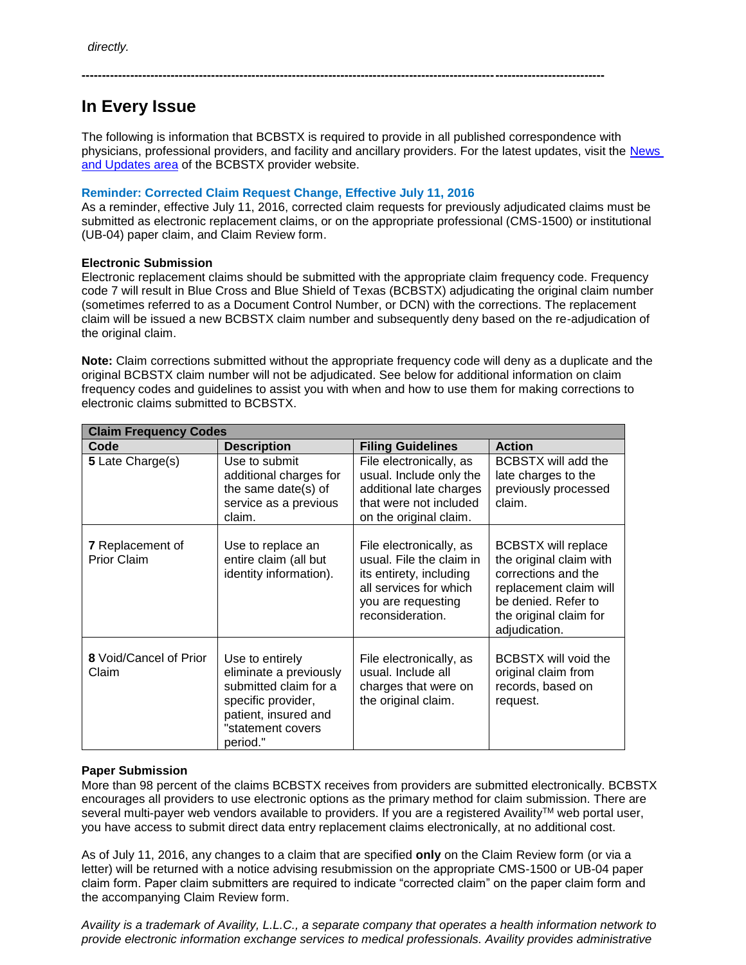# **In Every Issue**

The following is information that BCBSTX is required to provide in all published correspondence with physicians, professional providers, and facility and ancillary providers. For the latest updates, visit the [News](http://www.bcbstx.com/provider/news/index.html)  [and Updates area](http://www.bcbstx.com/provider/news/index.html) of the BCBSTX provider website.

**---------------------------------------------------------------------------------------------------------------------------------**

# **Reminder: Corrected Claim Request Change, Effective July 11, 2016**

As a reminder, effective July 11, 2016, corrected claim requests for previously adjudicated claims must be submitted as electronic replacement claims, or on the appropriate professional (CMS-1500) or institutional (UB-04) paper claim, and Claim Review form.

# **Electronic Submission**

Electronic replacement claims should be submitted with the appropriate claim frequency code. Frequency code 7 will result in Blue Cross and Blue Shield of Texas (BCBSTX) adjudicating the original claim number (sometimes referred to as a Document Control Number, or DCN) with the corrections. The replacement claim will be issued a new BCBSTX claim number and subsequently deny based on the re-adjudication of the original claim.

**Note:** Claim corrections submitted without the appropriate frequency code will deny as a duplicate and the original BCBSTX claim number will not be adjudicated. See below for additional information on claim frequency codes and guidelines to assist you with when and how to use them for making corrections to electronic claims submitted to BCBSTX.

| <b>Claim Frequency Codes</b>                  |                                                                                                                                                   |                                                                                                                                                    |                                                                                                                                                                          |
|-----------------------------------------------|---------------------------------------------------------------------------------------------------------------------------------------------------|----------------------------------------------------------------------------------------------------------------------------------------------------|--------------------------------------------------------------------------------------------------------------------------------------------------------------------------|
| Code                                          | <b>Description</b>                                                                                                                                | <b>Filing Guidelines</b>                                                                                                                           | <b>Action</b>                                                                                                                                                            |
| 5 Late Charge(s)                              | Use to submit<br>additional charges for<br>the same date(s) of<br>service as a previous<br>claim.                                                 | File electronically, as<br>usual. Include only the<br>additional late charges<br>that were not included<br>on the original claim.                  | BCBSTX will add the<br>late charges to the<br>previously processed<br>claim.                                                                                             |
| <b>7</b> Replacement of<br><b>Prior Claim</b> | Use to replace an<br>entire claim (all but<br>identity information).                                                                              | File electronically, as<br>usual. File the claim in<br>its entirety, including<br>all services for which<br>you are requesting<br>reconsideration. | <b>BCBSTX will replace</b><br>the original claim with<br>corrections and the<br>replacement claim will<br>be denied. Refer to<br>the original claim for<br>adjudication. |
| 8 Void/Cancel of Prior<br>Claim               | Use to entirely<br>eliminate a previously<br>submitted claim for a<br>specific provider,<br>patient, insured and<br>"statement covers<br>period." | File electronically, as<br>usual. Include all<br>charges that were on<br>the original claim.                                                       | BCBSTX will void the<br>original claim from<br>records, based on<br>request.                                                                                             |

# **Paper Submission**

More than 98 percent of the claims BCBSTX receives from providers are submitted electronically. BCBSTX encourages all providers to use electronic options as the primary method for claim submission. There are several multi-payer web vendors available to providers. If you are a registered Availity™ web portal user, you have access to submit direct data entry replacement claims electronically, at no additional cost.

As of July 11, 2016, any changes to a claim that are specified **only** on the Claim Review form (or via a letter) will be returned with a notice advising resubmission on the appropriate CMS-1500 or UB-04 paper claim form. Paper claim submitters are required to indicate "corrected claim" on the paper claim form and the accompanying Claim Review form.

*Availity is a trademark of Availity, L.L.C., a separate company that operates a health information network to provide electronic information exchange services to medical professionals. Availity provides administrative*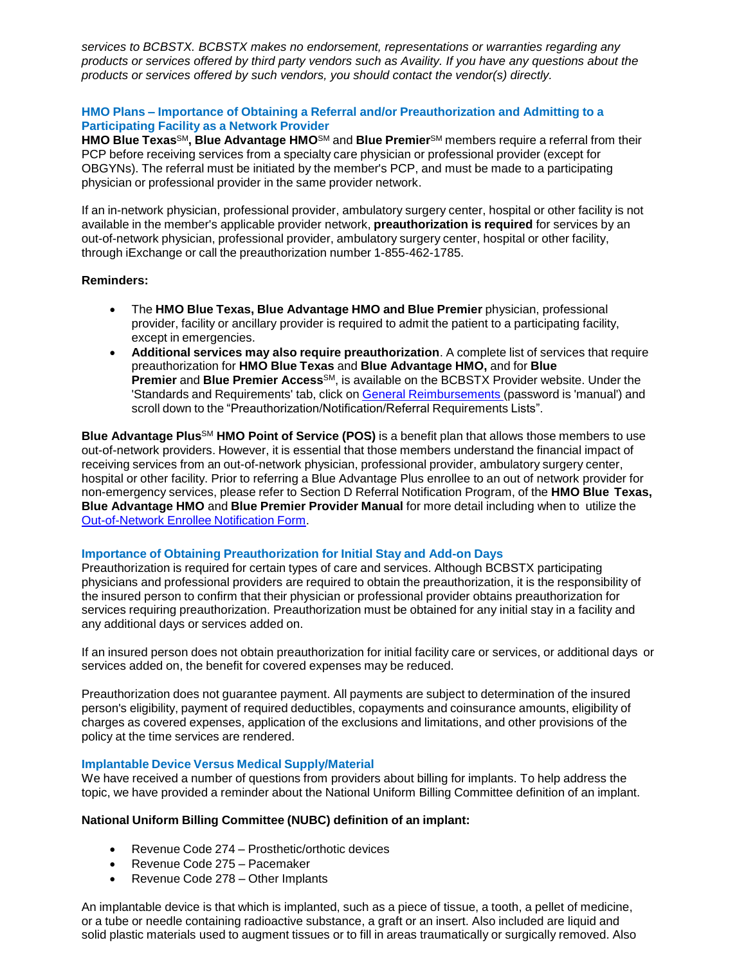*services to BCBSTX. BCBSTX makes no endorsement, representations or warranties regarding any products or services offered by third party vendors such as Availity. If you have any questions about the products or services offered by such vendors, you should contact the vendor(s) directly.*

# **HMO Plans – Importance of Obtaining a Referral and/or Preauthorization and Admitting to a Participating Facility as a Network Provider**

**HMO Blue Texas**SM**, Blue Advantage HMO**SM and **Blue Premier**SM members require a referral from their PCP before receiving services from a specialty care physician or professional provider (except for OBGYNs). The referral must be initiated by the member's PCP, and must be made to a participating physician or professional provider in the same provider network.

If an in-network physician, professional provider, ambulatory surgery center, hospital or other facility is not available in the member's applicable provider network, **preauthorization is required** for services by an out-of-network physician, professional provider, ambulatory surgery center, hospital or other facility, through iExchange or call the preauthorization number 1-855-462-1785.

# **Reminders:**

- The **HMO Blue Texas, Blue Advantage HMO and Blue Premier** physician, professional provider, facility or ancillary provider is required to admit the patient to a participating facility, except in emergencies.
- **Additional services may also require preauthorization**. A complete list of services that require preauthorization for **HMO Blue Texas** and **Blue Advantage HMO,** and for **Blue Premier** and **Blue Premier Access**SM, is available on the BCBSTX Provider website. Under the 'Standards and Requirements' tab, click on General [Reimbursements](https://www.bcbstx.com/provider/gri/gri.html) (password is 'manual') and scroll down to the "Preauthorization/Notification/Referral Requirements Lists".

**Blue Advantage Plus**SM **HMO Point of Service (POS)** is a benefit plan that allows those members to use out-of-network providers. However, it is essential that those members understand the financial impact of receiving services from an out-of-network physician, professional provider, ambulatory surgery center, hospital or other facility. Prior to referring a Blue Advantage Plus enrollee to an out of network provider for non-emergency services, please refer to Section D Referral Notification Program, of the **HMO Blue Texas, Blue Advantage HMO** and **Blue Premier Provider Manual** for more detail including when to utilize the [Out-of-Network](http://www.pages02.net/hcscnosuppression/nlt_br_providers_june_2016_b_ok_060116_in_every_issue/LPT.url?kn=900467&vs=YTVjNjZjMzUtOGRhNi00MDUwLWI1MDAtYTg0NTI3M2JkZmUxOzA6ODk5OTgwMToyMjY0ODg5MjYwNzo5NDAwOTQyMjQ6OTQwMDk0MjI0OwS2) Enrollee Notification Form.

### **Importance of Obtaining Preauthorization for Initial Stay and Add-on Days**

Preauthorization is required for certain types of care and services. Although BCBSTX participating physicians and professional providers are required to obtain the preauthorization, it is the responsibility of the insured person to confirm that their physician or professional provider obtains preauthorization for services requiring preauthorization. Preauthorization must be obtained for any initial stay in a facility and any additional days or services added on.

If an insured person does not obtain preauthorization for initial facility care or services, or additional days or services added on, the benefit for covered expenses may be reduced.

Preauthorization does not guarantee payment. All payments are subject to determination of the insured person's eligibility, payment of required deductibles, copayments and coinsurance amounts, eligibility of charges as covered expenses, application of the exclusions and limitations, and other provisions of the policy at the time services are rendered.

# **Implantable Device Versus Medical Supply/Material**

We have received a number of questions from providers about billing for implants. To help address the topic, we have provided a reminder about the National Uniform Billing Committee definition of an implant.

# **National Uniform Billing Committee (NUBC) definition of an implant:**

- Revenue Code 274 Prosthetic/orthotic devices
- Revenue Code 275 Pacemaker
- Revenue Code 278 Other Implants

An implantable device is that which is implanted, such as a piece of tissue, a tooth, a pellet of medicine, or a tube or needle containing radioactive substance, a graft or an insert. Also included are liquid and solid plastic materials used to augment tissues or to fill in areas traumatically or surgically removed. Also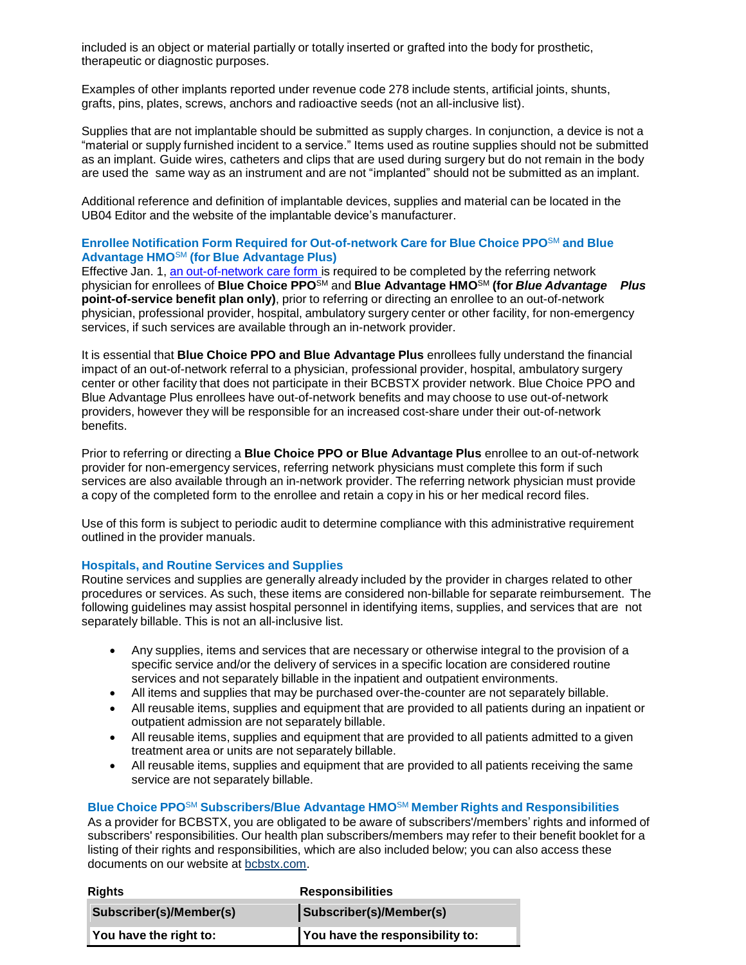included is an object or material partially or totally inserted or grafted into the body for prosthetic, therapeutic or diagnostic purposes.

Examples of other implants reported under revenue code 278 include stents, artificial joints, shunts, grafts, pins, plates, screws, anchors and radioactive seeds (not an all-inclusive list).

Supplies that are not implantable should be submitted as supply charges. In conjunction, a device is not a "material or supply furnished incident to a service." Items used as routine supplies should not be submitted as an implant. Guide wires, catheters and clips that are used during surgery but do not remain in the body are used the same way as an instrument and are not "implanted" should not be submitted as an implant.

Additional reference and definition of implantable devices, supplies and material can be located in the UB04 Editor and the website of the implantable device's manufacturer.

# **Enrollee Notification Form Required for Out-of-network Care for Blue Choice PPO**SM **and Blue Advantage HMO**SM **(for Blue Advantage Plus)**

Effective Jan. 1, an [out-of-network](http://www.pages02.net/hcscnosuppression/nlt_br_providers_june_2016_b_ok_060116_in_every_issue/LPT.url?kn=900471&vs=YTVjNjZjMzUtOGRhNi00MDUwLWI1MDAtYTg0NTI3M2JkZmUxOzA6ODk5OTgwMToyMjY0ODg5MjYwNzo5NDAwOTQyMjQ6OTQwMDk0MjI0OwS2) care form is required to be completed by the referring network physician for enrollees of **Blue Choice PPO**SM and **Blue Advantage HMO**SM **(for** *Blue Advantage Plus* **point-of-service benefit plan only)**, prior to referring or directing an enrollee to an out-of-network physician, professional provider, hospital, ambulatory surgery center or other facility, for non-emergency services, if such services are available through an in-network provider.

It is essential that **Blue Choice PPO and Blue Advantage Plus** enrollees fully understand the financial impact of an out-of-network referral to a physician, professional provider, hospital, ambulatory surgery center or other facility that does not participate in their BCBSTX provider network. Blue Choice PPO and Blue Advantage Plus enrollees have out-of-network benefits and may choose to use out-of-network providers, however they will be responsible for an increased cost-share under their out-of-network benefits.

Prior to referring or directing a **Blue Choice PPO or Blue Advantage Plus** enrollee to an out-of-network provider for non-emergency services, referring network physicians must complete this form if such services are also available through an in-network provider. The referring network physician must provide a copy of the completed form to the enrollee and retain a copy in his or her medical record files.

Use of this form is subject to periodic audit to determine compliance with this administrative requirement outlined in the provider manuals.

### **Hospitals, and Routine Services and Supplies**

Routine services and supplies are generally already included by the provider in charges related to other procedures or services. As such, these items are considered non-billable for separate reimbursement. The following guidelines may assist hospital personnel in identifying items, supplies, and services that are not separately billable. This is not an all-inclusive list.

- Any supplies, items and services that are necessary or otherwise integral to the provision of a specific service and/or the delivery of services in a specific location are considered routine services and not separately billable in the inpatient and outpatient environments.
- All items and supplies that may be purchased over-the-counter are not separately billable.
- All reusable items, supplies and equipment that are provided to all patients during an inpatient or outpatient admission are not separately billable.
- All reusable items, supplies and equipment that are provided to all patients admitted to a given treatment area or units are not separately billable.
- All reusable items, supplies and equipment that are provided to all patients receiving the same service are not separately billable.

### **Blue Choice PPO**SM **Subscribers/Blue Advantage HMO**SM **Member Rights and Responsibilities**

As a provider for BCBSTX, you are obligated to be aware of subscribers'/members' rights and informed of subscribers' responsibilities. Our health plan subscribers/members may refer to their benefit booklet for a listing of their rights and responsibilities, which are also included below; you can also access these documents on our website at **bcbstx.com**.

| <b>Rights</b>           | <b>Responsibilities</b>         |
|-------------------------|---------------------------------|
| Subscriber(s)/Member(s) | Subscriber(s)/Member(s)         |
| You have the right to:  | You have the responsibility to: |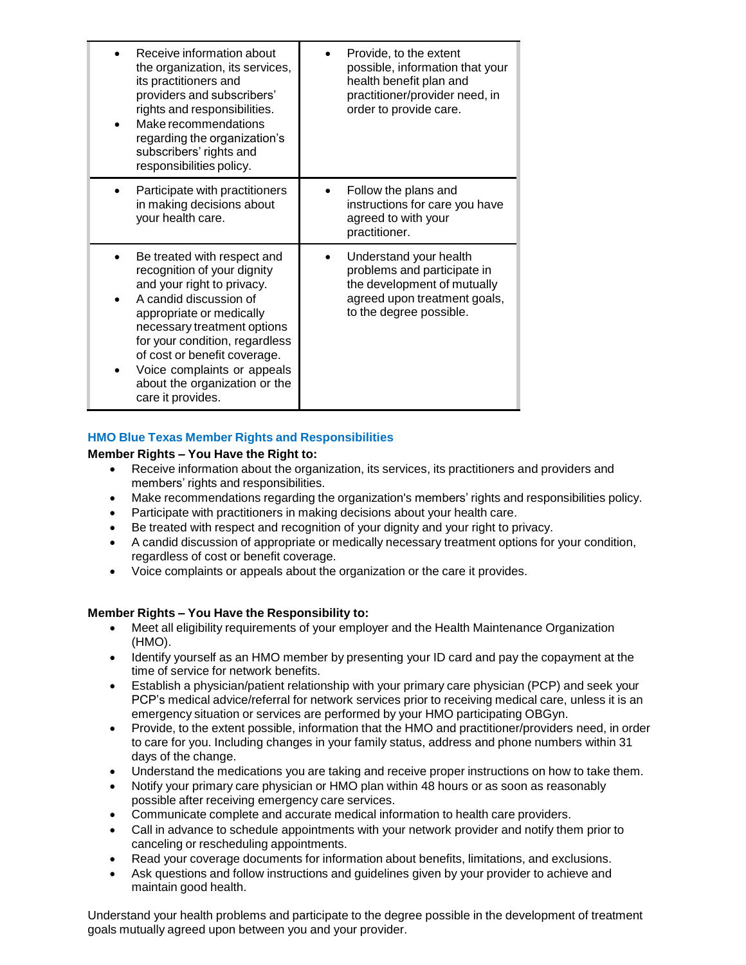| Receive information about<br>the organization, its services,<br>its practitioners and<br>providers and subscribers'<br>rights and responsibilities.<br>Make recommendations<br>regarding the organization's<br>subscribers' rights and<br>responsibilities policy.                                                                   | Provide, to the extent<br>possible, information that your<br>health benefit plan and<br>practitioner/provider need, in<br>order to provide care. |
|--------------------------------------------------------------------------------------------------------------------------------------------------------------------------------------------------------------------------------------------------------------------------------------------------------------------------------------|--------------------------------------------------------------------------------------------------------------------------------------------------|
| Participate with practitioners<br>in making decisions about<br>your health care.                                                                                                                                                                                                                                                     | Follow the plans and<br>instructions for care you have<br>agreed to with your<br>practitioner.                                                   |
| Be treated with respect and<br>recognition of your dignity<br>and your right to privacy.<br>A candid discussion of<br>appropriate or medically<br>necessary treatment options<br>for your condition, regardless<br>of cost or benefit coverage.<br>Voice complaints or appeals<br>about the organization or the<br>care it provides. | Understand your health<br>problems and participate in<br>the development of mutually<br>agreed upon treatment goals,<br>to the degree possible.  |

# **HMO Blue Texas Member Rights and Responsibilities**

### **Member Rights – You Have the Right to:**

- Receive information about the organization, its services, its practitioners and providers and members' rights and responsibilities.
- Make recommendations regarding the organization's members' rights and responsibilities policy.
- Participate with practitioners in making decisions about your health care.
- Be treated with respect and recognition of your dignity and your right to privacy.
- A candid discussion of appropriate or medically necessary treatment options for your condition, regardless of cost or benefit coverage.
- Voice complaints or appeals about the organization or the care it provides.

# **Member Rights – You Have the Responsibility to:**

- Meet all eligibility requirements of your employer and the Health Maintenance Organization (HMO).
- Identify yourself as an HMO member by presenting your ID card and pay the copayment at the time of service for network benefits.
- Establish a physician/patient relationship with your primary care physician (PCP) and seek your PCP's medical advice/referral for network services prior to receiving medical care, unless it is an emergency situation or services are performed by your HMO participating OBGyn.
- Provide, to the extent possible, information that the HMO and practitioner/providers need, in order to care for you. Including changes in your family status, address and phone numbers within 31 days of the change.
- Understand the medications you are taking and receive proper instructions on how to take them.
- Notify your primary care physician or HMO plan within 48 hours or as soon as reasonably possible after receiving emergency care services.
- Communicate complete and accurate medical information to health care providers.
- Call in advance to schedule appointments with your network provider and notify them prior to canceling or rescheduling appointments.
- Read your coverage documents for information about benefits, limitations, and exclusions.
- Ask questions and follow instructions and guidelines given by your provider to achieve and maintain good health.

Understand your health problems and participate to the degree possible in the development of treatment goals mutually agreed upon between you and your provider.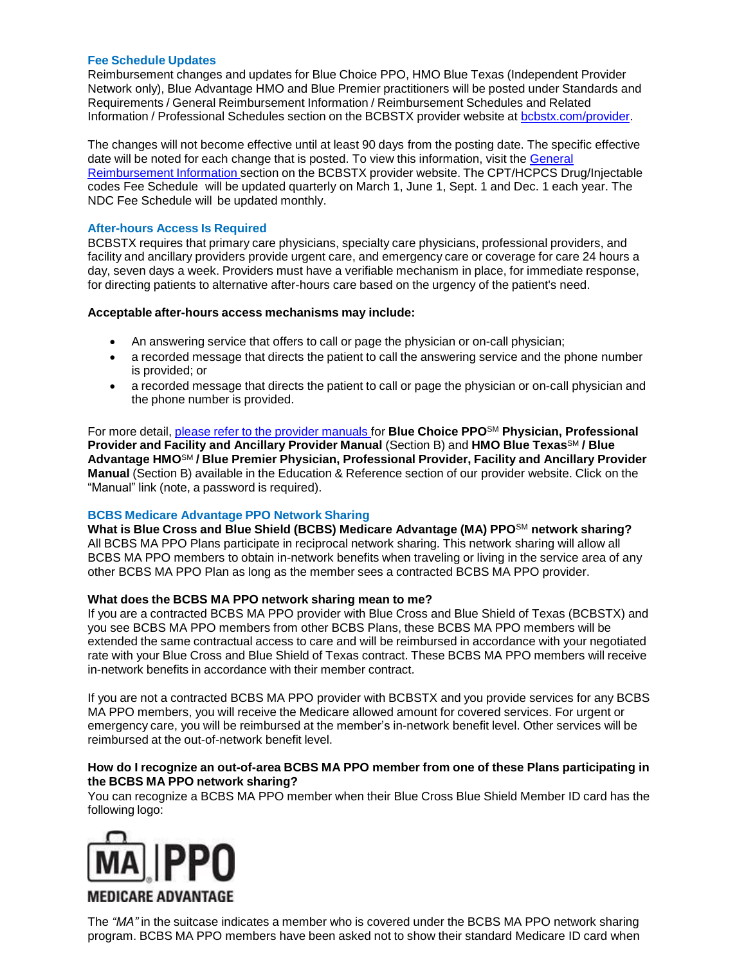# **Fee Schedule Updates**

Reimbursement changes and updates for Blue Choice PPO, HMO Blue Texas (Independent Provider Network only), Blue Advantage HMO and Blue Premier practitioners will be posted under Standards and Requirements / General Reimbursement Information / Reimbursement Schedules and Related Information / Professional Schedules section on the BCBSTX provider website at [bcbstx.com/provider.](https://www.bcbstx.com/provider/index.html)

The changes will not become effective until at least 90 days from the posting date. The specific effective date will be noted for each change that is posted. To view this information, visit the [General](http://www.pages02.net/hcscnosuppression/nlt_br_providers_june_2016_b_ok_060116_in_every_issue/LPT.url?kn=900475&vs=YTVjNjZjMzUtOGRhNi00MDUwLWI1MDAtYTg0NTI3M2JkZmUxOzA6ODk5OTgwMToyMjY0ODg5MjYwNzo5NDAwOTQyMjQ6OTQwMDk0MjI0OwS2) [Reimbursement](https://www.bcbstx.com/provider/gri/gri.html) Information section on the BCBSTX provider website. The CPT/HCPCS Drug/Injectable codes Fee Schedule will be updated quarterly on March 1, June 1, Sept. 1 and Dec. 1 each year. The NDC Fee Schedule will be updated monthly.

# **After-hours Access Is Required**

BCBSTX requires that primary care physicians, specialty care physicians, professional providers, and facility and ancillary providers provide urgent care, and emergency care or coverage for care 24 hours a day, seven days a week. Providers must have a verifiable mechanism in place, for immediate response, for directing patients to alternative after-hours care based on the urgency of the patient's need.

# **Acceptable after-hours access mechanisms may include:**

- An answering service that offers to call or page the physician or on-call physician;
- a recorded message that directs the patient to call the answering service and the phone number is provided; or
- a recorded message that directs the patient to call or page the physician or on-call physician and the phone number is provided.

For more detail, please refer to the provider [manuals](https://www.bcbstx.com/provider/gri/index.html) for **Blue Choice PPO**SM **Physician, Professional Provider and Facility and Ancillary Provider Manual** (Section B) and **HMO Blue Texas**SM **/ Blue Advantage HMO**SM **/ Blue Premier Physician, Professional Provider, Facility and Ancillary Provider Manual** (Section B) available in the Education & Reference section of our provider website. Click on the "Manual" link (note, a password is required).

# **BCBS Medicare Advantage PPO Network Sharing**

**What is Blue Cross and Blue Shield (BCBS) Medicare Advantage (MA) PPO**SM **network sharing?** All BCBS MA PPO Plans participate in reciprocal network sharing. This network sharing will allow all BCBS MA PPO members to obtain in-network benefits when traveling or living in the service area of any other BCBS MA PPO Plan as long as the member sees a contracted BCBS MA PPO provider.

### **What does the BCBS MA PPO network sharing mean to me?**

If you are a contracted BCBS MA PPO provider with Blue Cross and Blue Shield of Texas (BCBSTX) and you see BCBS MA PPO members from other BCBS Plans, these BCBS MA PPO members will be extended the same contractual access to care and will be reimbursed in accordance with your negotiated rate with your Blue Cross and Blue Shield of Texas contract. These BCBS MA PPO members will receive in-network benefits in accordance with their member contract.

If you are not a contracted BCBS MA PPO provider with BCBSTX and you provide services for any BCBS MA PPO members, you will receive the Medicare allowed amount for covered services. For urgent or emergency care, you will be reimbursed at the member's in-network benefit level. Other services will be reimbursed at the out-of-network benefit level.

#### **How do I recognize an out-of-area BCBS MA PPO member from one of these Plans participating in the BCBS MA PPO network sharing?**

You can recognize a BCBS MA PPO member when their Blue Cross Blue Shield Member ID card has the following logo:



The *"MA"* in the suitcase indicates a member who is covered under the BCBS MA PPO network sharing program. BCBS MA PPO members have been asked not to show their standard Medicare ID card when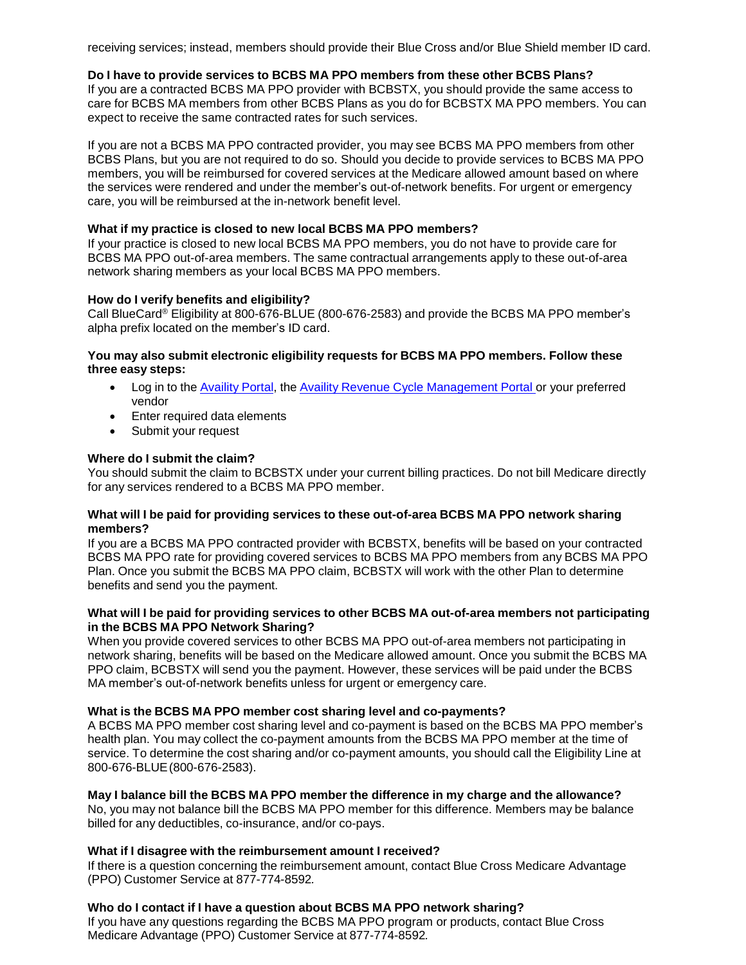receiving services; instead, members should provide their Blue Cross and/or Blue Shield member ID card.

### **Do I have to provide services to BCBS MA PPO members from these other BCBS Plans?**

If you are a contracted BCBS MA PPO provider with BCBSTX, you should provide the same access to care for BCBS MA members from other BCBS Plans as you do for BCBSTX MA PPO members. You can expect to receive the same contracted rates for such services.

If you are not a BCBS MA PPO contracted provider, you may see BCBS MA PPO members from other BCBS Plans, but you are not required to do so. Should you decide to provide services to BCBS MA PPO members, you will be reimbursed for covered services at the Medicare allowed amount based on where the services were rendered and under the member's out-of-network benefits. For urgent or emergency care, you will be reimbursed at the in-network benefit level.

#### **What if my practice is closed to new local BCBS MA PPO members?**

If your practice is closed to new local BCBS MA PPO members, you do not have to provide care for BCBS MA PPO out-of-area members. The same contractual arrangements apply to these out-of-area network sharing members as your local BCBS MA PPO members.

#### **How do I verify benefits and eligibility?**

Call BlueCard® Eligibility at 800-676-BLUE (800-676-2583) and provide the BCBS MA PPO member's alpha prefix located on the member's ID card.

### **You may also submit electronic eligibility requests for BCBS MA PPO members. Follow these three easy steps:**

- Log in to the [Availity](https://claims.realmed.com/) Portal, the Availity Revenue Cycle [Management](https://claims.realmed.com/MainFrameset.htm) Portal or your preferred vendor
- Enter required data elements
- Submit your request

### **Where do I submit the claim?**

You should submit the claim to BCBSTX under your current billing practices. Do not bill Medicare directly for any services rendered to a BCBS MA PPO member.

#### **What will I be paid for providing services to these out-of-area BCBS MA PPO network sharing members?**

If you are a BCBS MA PPO contracted provider with BCBSTX, benefits will be based on your contracted BCBS MA PPO rate for providing covered services to BCBS MA PPO members from any BCBS MA PPO Plan. Once you submit the BCBS MA PPO claim, BCBSTX will work with the other Plan to determine benefits and send you the payment.

### **What will I be paid for providing services to other BCBS MA out-of-area members not participating in the BCBS MA PPO Network Sharing?**

When you provide covered services to other BCBS MA PPO out-of-area members not participating in network sharing, benefits will be based on the Medicare allowed amount. Once you submit the BCBS MA PPO claim, BCBSTX will send you the payment. However, these services will be paid under the BCBS MA member's out-of-network benefits unless for urgent or emergency care.

### **What is the BCBS MA PPO member cost sharing level and co-payments?**

A BCBS MA PPO member cost sharing level and co-payment is based on the BCBS MA PPO member's health plan. You may collect the co-payment amounts from the BCBS MA PPO member at the time of service. To determine the cost sharing and/or co-payment amounts, you should call the Eligibility Line at 800-676-BLUE(800-676-2583).

#### **May I balance bill the BCBS MA PPO member the difference in my charge and the allowance?** No, you may not balance bill the BCBS MA PPO member for this difference. Members may be balance

billed for any deductibles, co-insurance, and/or co-pays.

### **What if I disagree with the reimbursement amount I received?**

If there is a question concerning the reimbursement amount, contact Blue Cross Medicare Advantage (PPO) Customer Service at 877-774-8592*.*

### **Who do I contact if I have a question about BCBS MA PPO network sharing?**

If you have any questions regarding the BCBS MA PPO program or products, contact Blue Cross Medicare Advantage (PPO) Customer Service at 877-774-8592*.*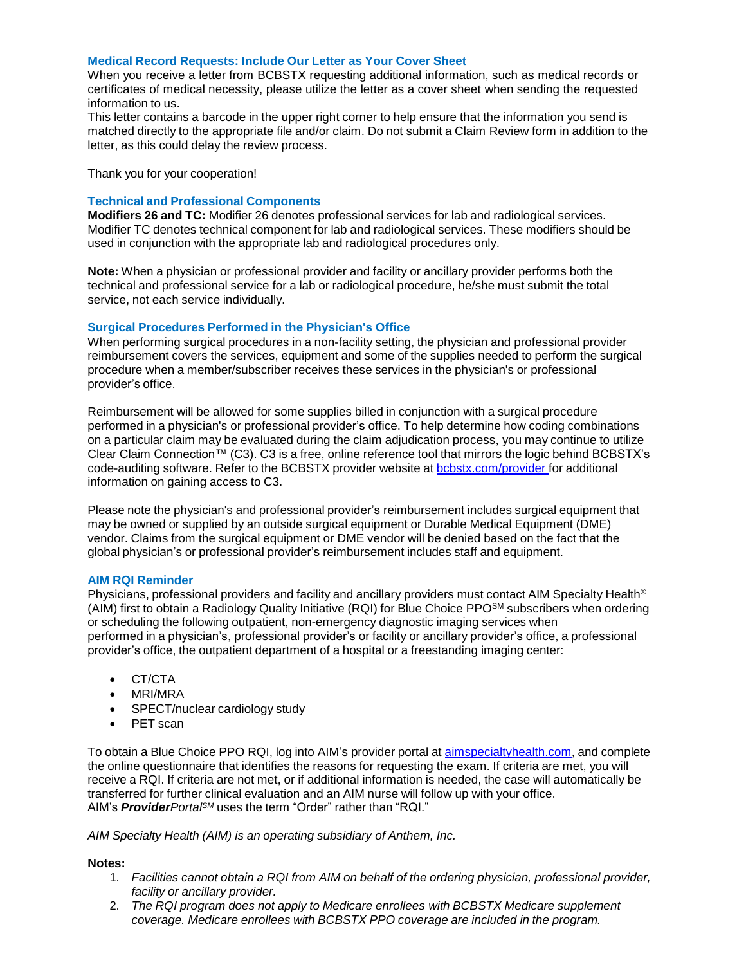#### **Medical Record Requests: Include Our Letter as Your Cover Sheet**

When you receive a letter from BCBSTX requesting additional information, such as medical records or certificates of medical necessity, please utilize the letter as a cover sheet when sending the requested information to us.

This letter contains a barcode in the upper right corner to help ensure that the information you send is matched directly to the appropriate file and/or claim. Do not submit a Claim Review form in addition to the letter, as this could delay the review process.

Thank you for your cooperation!

### **Technical and Professional Components**

**Modifiers 26 and TC:** Modifier 26 denotes professional services for lab and radiological services. Modifier TC denotes technical component for lab and radiological services. These modifiers should be used in conjunction with the appropriate lab and radiological procedures only.

**Note:** When a physician or professional provider and facility or ancillary provider performs both the technical and professional service for a lab or radiological procedure, he/she must submit the total service, not each service individually.

#### **Surgical Procedures Performed in the Physician's Office**

When performing surgical procedures in a non-facility setting, the physician and professional provider reimbursement covers the services, equipment and some of the supplies needed to perform the surgical procedure when a member/subscriber receives these services in the physician's or professional provider's office.

Reimbursement will be allowed for some supplies billed in conjunction with a surgical procedure performed in a physician's or professional provider's office. To help determine how coding combinations on a particular claim may be evaluated during the claim adjudication process, you may continue to utilize Clear Claim Connection™ (C3). C3 is a free, online reference tool that mirrors the logic behind BCBSTX's code-auditing software. Refer to the BCBSTX provider website at **[bcbstx.com/provider](https://www.bcbstx.com/provider/)** for additional information on gaining access to C3.

Please note the physician's and professional provider's reimbursement includes surgical equipment that may be owned or supplied by an outside surgical equipment or Durable Medical Equipment (DME) vendor. Claims from the surgical equipment or DME vendor will be denied based on the fact that the global physician's or professional provider's reimbursement includes staff and equipment.

#### **AIM RQI Reminder**

Physicians, professional providers and facility and ancillary providers must contact AIM Specialty Health® (AIM) first to obtain a Radiology Quality Initiative (RQI) for Blue Choice PPOSM subscribers when ordering or scheduling the following outpatient, non-emergency diagnostic imaging services when performed in a physician's, professional provider's or facility or ancillary provider's office, a professional provider's office, the outpatient department of a hospital or a freestanding imaging center:

- CT/CTA
- MRI/MRA
- SPECT/nuclear cardiology study
- PET scan

To obtain a Blue Choice PPO RQI, log into AIM's provider portal at [aimspecialtyhealth.com](http://www.aimspecialtyhealth.com/), and complete the online questionnaire that identifies the reasons for requesting the exam. If criteria are met, you will receive a RQI. If criteria are not met, or if additional information is needed, the case will automatically be transferred for further clinical evaluation and an AIM nurse will follow up with your office. AIM's *ProviderPortalSM* uses the term "Order" rather than "RQI."

*AIM Specialty Health (AIM) is an operating subsidiary of Anthem, Inc.*

### **Notes:**

- 1. *Facilities cannot obtain a RQI from AIM on behalf of the ordering physician, professional provider, facility or ancillary provider.*
- 2. *The RQI program does not apply to Medicare enrollees with BCBSTX Medicare supplement coverage. Medicare enrollees with BCBSTX PPO coverage are included in the program.*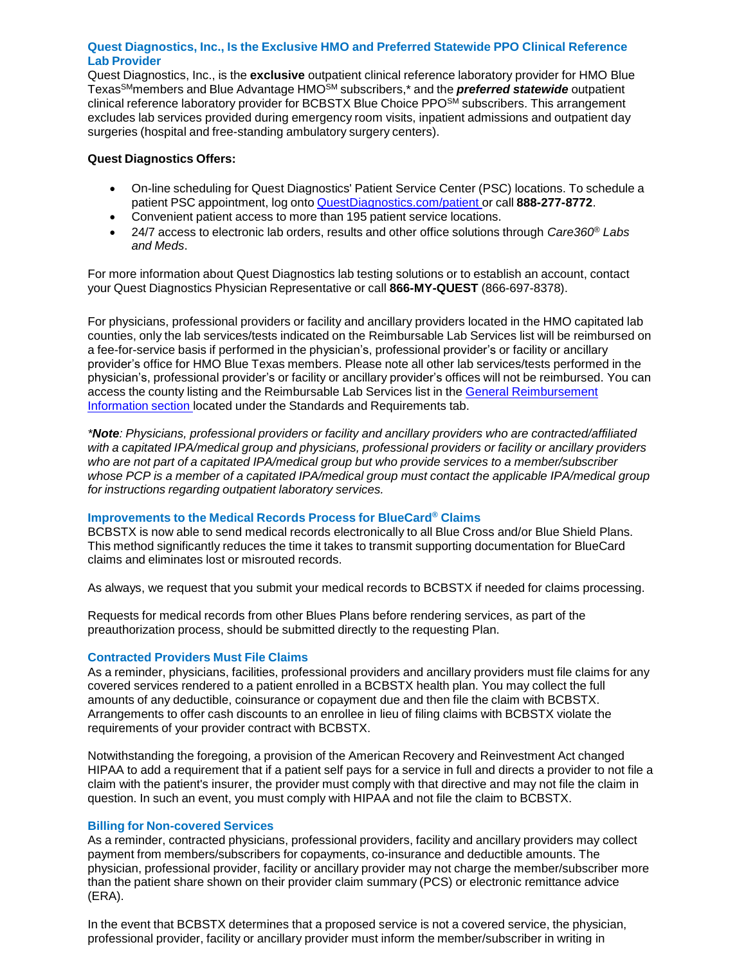# **Quest Diagnostics, Inc., Is the Exclusive HMO and Preferred Statewide PPO Clinical Reference Lab Provider**

Quest Diagnostics, Inc., is the **exclusive** outpatient clinical reference laboratory provider for HMO Blue TexasSMmembers and Blue Advantage HMOSM subscribers,\* and the *preferred statewide* outpatient clinical reference laboratory provider for BCBSTX Blue Choice PPO<sup>SM</sup> subscribers. This arrangement excludes lab services provided during emergency room visits, inpatient admissions and outpatient day surgeries (hospital and free-standing ambulatory surgery centers).

# **Quest Diagnostics Offers:**

- On-line scheduling for Quest Diagnostics' Patient Service Center (PSC) locations. To schedule a patient PSC appointment, log onto [QuestDiagnostics.com/patient](https://www.questdiagnostics.com/home/patients) or call **888-277-8772**.
- Convenient patient access to more than 195 patient service locations.
- 24/7 access to electronic lab orders, results and other office solutions through *Care360® Labs and Meds*.

For more information about Quest Diagnostics lab testing solutions or to establish an account, contact your Quest Diagnostics Physician Representative or call **866-MY-QUEST** (866-697-8378).

For physicians, professional providers or facility and ancillary providers located in the HMO capitated lab counties, only the lab services/tests indicated on the Reimbursable Lab Services list will be reimbursed on a fee-for-service basis if performed in the physician's, professional provider's or facility or ancillary provider's office for HMO Blue Texas members. Please note all other lab services/tests performed in the physician's, professional provider's or facility or ancillary provider's offices will not be reimbursed. You can access the county listing and the Reimbursable Lab Services list in the General [Reimbursement](https://www.bcbstx.com/provider/gri/index.html) Information section located under the Standards and Requirements tab.

*\*Note: Physicians, professional providers or facility and ancillary providers who are contracted/affiliated with a capitated IPA/medical group and physicians, professional providers or facility or ancillary providers who are not part of a capitated IPA/medical group but who provide services to a member/subscriber whose PCP is a member of a capitated IPA/medical group must contact the applicable IPA/medical group for instructions regarding outpatient laboratory services.*

### **Improvements to the Medical Records Process for BlueCard® Claims**

BCBSTX is now able to send medical records electronically to all Blue Cross and/or Blue Shield Plans. This method significantly reduces the time it takes to transmit supporting documentation for BlueCard claims and eliminates lost or misrouted records.

As always, we request that you submit your medical records to BCBSTX if needed for claims processing.

Requests for medical records from other Blues Plans before rendering services, as part of the preauthorization process, should be submitted directly to the requesting Plan.

# **Contracted Providers Must File Claims**

As a reminder, physicians, facilities, professional providers and ancillary providers must file claims for any covered services rendered to a patient enrolled in a BCBSTX health plan. You may collect the full amounts of any deductible, coinsurance or copayment due and then file the claim with BCBSTX. Arrangements to offer cash discounts to an enrollee in lieu of filing claims with BCBSTX violate the requirements of your provider contract with BCBSTX.

Notwithstanding the foregoing, a provision of the American Recovery and Reinvestment Act changed HIPAA to add a requirement that if a patient self pays for a service in full and directs a provider to not file a claim with the patient's insurer, the provider must comply with that directive and may not file the claim in question. In such an event, you must comply with HIPAA and not file the claim to BCBSTX.

### **Billing for Non-covered Services**

As a reminder, contracted physicians, professional providers, facility and ancillary providers may collect payment from members/subscribers for copayments, co-insurance and deductible amounts. The physician, professional provider, facility or ancillary provider may not charge the member/subscriber more than the patient share shown on their provider claim summary (PCS) or electronic remittance advice (ERA).

In the event that BCBSTX determines that a proposed service is not a covered service, the physician, professional provider, facility or ancillary provider must inform the member/subscriber in writing in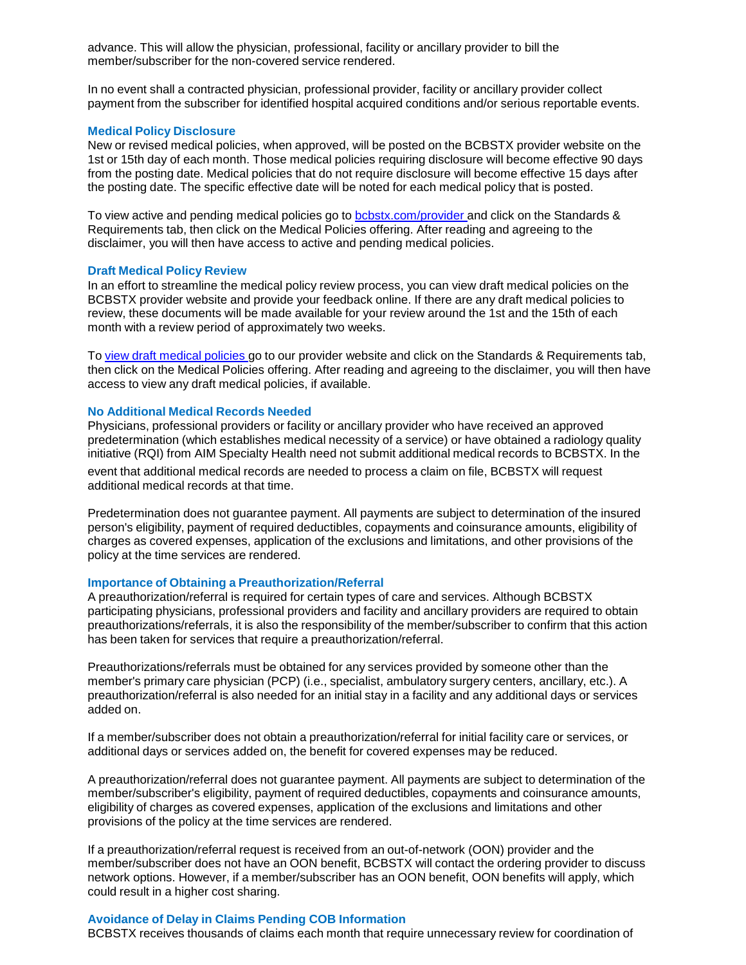advance. This will allow the physician, professional, facility or ancillary provider to bill the member/subscriber for the non-covered service rendered.

In no event shall a contracted physician, professional provider, facility or ancillary provider collect payment from the subscriber for identified hospital acquired conditions and/or serious reportable events.

#### **Medical Policy Disclosure**

New or revised medical policies, when approved, will be posted on the BCBSTX provider website on the 1st or 15th day of each month. Those medical policies requiring disclosure will become effective 90 days from the posting date. Medical policies that do not require disclosure will become effective 15 days after the posting date. The specific effective date will be noted for each medical policy that is posted.

To view active and pending medical policies go to [bcbstx.com/provider](https://www.bcbstx.com/provider/) and click on the Standards & Requirements tab, then click on the Medical Policies offering. After reading and agreeing to the disclaimer, you will then have access to active and pending medical policies.

#### **Draft Medical Policy Review**

In an effort to streamline the medical policy review process, you can view draft medical policies on the BCBSTX provider website and provide your feedback online. If there are any draft medical policies to review, these documents will be made available for your review around the 1st and the 15th of each month with a review period of approximately two weeks.

To view draft [medical](http://www.medicalpolicy.hcsc.net/medicalpolicy/disclaimer?corpEntCd=TX1) policies go to our provider website and click on the Standards & Requirements tab, then click on the Medical Policies offering. After reading and agreeing to the disclaimer, you will then have access to view any draft medical policies, if available.

#### **No Additional Medical Records Needed**

Physicians, professional providers or facility or ancillary provider who have received an approved predetermination (which establishes medical necessity of a service) or have obtained a radiology quality initiative (RQI) from AIM Specialty Health need not submit additional medical records to BCBSTX. In the

event that additional medical records are needed to process a claim on file, BCBSTX will request additional medical records at that time.

Predetermination does not guarantee payment. All payments are subject to determination of the insured person's eligibility, payment of required deductibles, copayments and coinsurance amounts, eligibility of charges as covered expenses, application of the exclusions and limitations, and other provisions of the policy at the time services are rendered.

#### **Importance of Obtaining a Preauthorization/Referral**

A preauthorization/referral is required for certain types of care and services. Although BCBSTX participating physicians, professional providers and facility and ancillary providers are required to obtain preauthorizations/referrals, it is also the responsibility of the member/subscriber to confirm that this action has been taken for services that require a preauthorization/referral.

Preauthorizations/referrals must be obtained for any services provided by someone other than the member's primary care physician (PCP) (i.e., specialist, ambulatory surgery centers, ancillary, etc.). A preauthorization/referral is also needed for an initial stay in a facility and any additional days or services added on.

If a member/subscriber does not obtain a preauthorization/referral for initial facility care or services, or additional days or services added on, the benefit for covered expenses may be reduced.

A preauthorization/referral does not guarantee payment. All payments are subject to determination of the member/subscriber's eligibility, payment of required deductibles, copayments and coinsurance amounts, eligibility of charges as covered expenses, application of the exclusions and limitations and other provisions of the policy at the time services are rendered.

If a preauthorization/referral request is received from an out-of-network (OON) provider and the member/subscriber does not have an OON benefit, BCBSTX will contact the ordering provider to discuss network options. However, if a member/subscriber has an OON benefit, OON benefits will apply, which could result in a higher cost sharing.

### **Avoidance of Delay in Claims Pending COB Information**

BCBSTX receives thousands of claims each month that require unnecessary review for coordination of